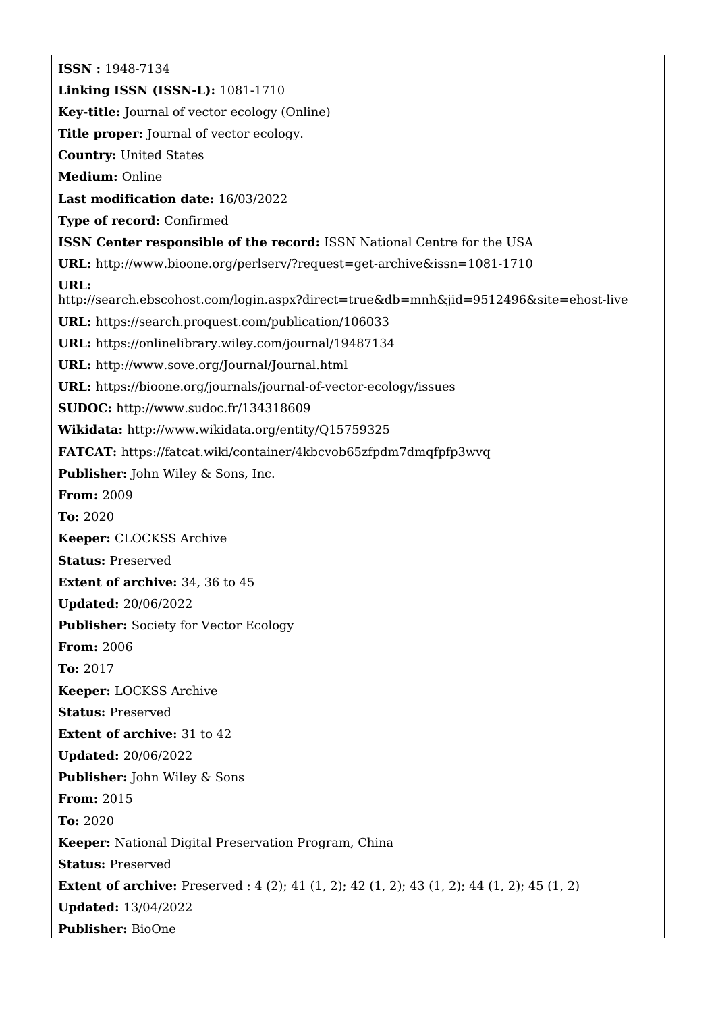**ISSN :** 1948-7134 **Linking ISSN (ISSN-L):** 1081-1710 **Key-title:** Journal of vector ecology (Online) **Title proper:** Journal of vector ecology. **Country:** United States **Medium:** Online **Last modification date:** 16/03/2022 **Type of record:** Confirmed **ISSN Center responsible of the record:** ISSN National Centre for the USA **URL:** <http://www.bioone.org/perlserv/?request=get-archive&issn=1081-1710> **URL:** <http://search.ebscohost.com/login.aspx?direct=true&db=mnh&jid=9512496&site=ehost-live> **URL:** <https://search.proquest.com/publication/106033> **URL:** <https://onlinelibrary.wiley.com/journal/19487134> **URL:** <http://www.sove.org/Journal/Journal.html> **URL:** <https://bioone.org/journals/journal-of-vector-ecology/issues> **SUDOC:** <http://www.sudoc.fr/134318609> **Wikidata:** <http://www.wikidata.org/entity/Q15759325> **FATCAT:** <https://fatcat.wiki/container/4kbcvob65zfpdm7dmqfpfp3wvq> Publisher: John Wiley & Sons, Inc. **From:** 2009 **To:** 2020 **Keeper:** CLOCKSS Archive **Status:** Preserved **Extent of archive:** 34, 36 to 45 **Updated:** 20/06/2022 **Publisher:** Society for Vector Ecology **From:** 2006 **To:** 2017 **Keeper:** LOCKSS Archive **Status:** Preserved **Extent of archive:** 31 to 42 **Updated:** 20/06/2022 **Publisher:** John Wiley & Sons **From:** 2015 **To:** 2020 **Keeper:** National Digital Preservation Program, China **Status:** Preserved **Extent of archive:** Preserved : 4 (2); 41 (1, 2); 42 (1, 2); 43 (1, 2); 44 (1, 2); 45 (1, 2) **Updated:** 13/04/2022 **Publisher:** BioOne